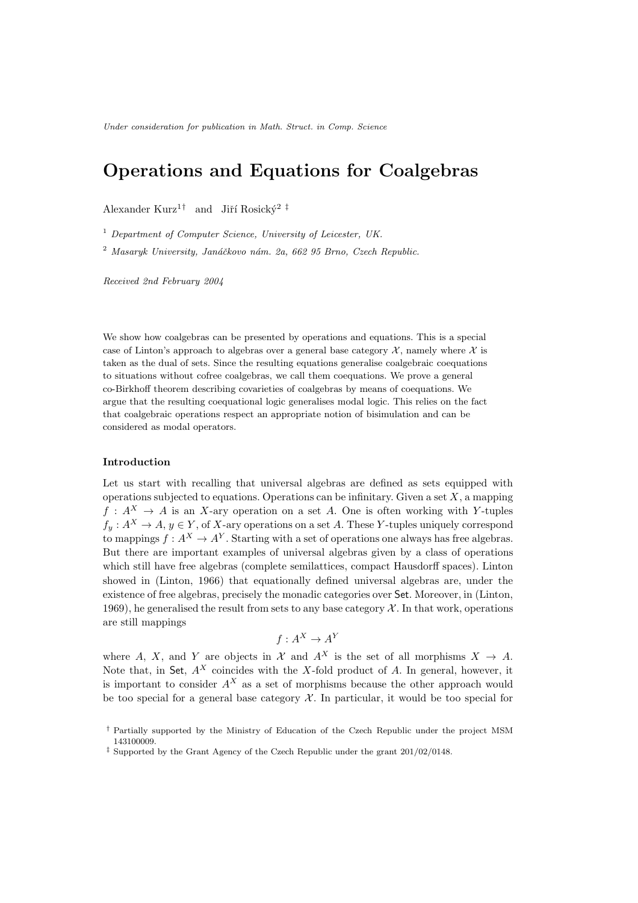Under consideration for publication in Math. Struct. in Comp. Science

# Operations and Equations for Coalgebras

Alexander Kurz<sup>1†</sup> and Jiří Rosický<sup>2 ‡</sup>

 $1$  Department of Computer Science, University of Leicester, UK.

<sup>2</sup> Masaryk University, Janáčkovo nám. 2a, 662 95 Brno, Czech Republic.

Received 2nd February 2004

We show how coalgebras can be presented by operations and equations. This is a special case of Linton's approach to algebras over a general base category  $\mathcal{X}$ , namely where  $\mathcal{X}$  is taken as the dual of sets. Since the resulting equations generalise coalgebraic coequations to situations without cofree coalgebras, we call them coequations. We prove a general co-Birkhoff theorem describing covarieties of coalgebras by means of coequations. We argue that the resulting coequational logic generalises modal logic. This relies on the fact that coalgebraic operations respect an appropriate notion of bisimulation and can be considered as modal operators.

## Introduction

Let us start with recalling that universal algebras are defined as sets equipped with operations subjected to equations. Operations can be infinitary. Given a set  $X$ , a mapping  $f: A^X \to A$  is an X-ary operation on a set A. One is often working with Y-tuples  $f_y: A^X \to A, y \in Y$ , of X-ary operations on a set A. These Y-tuples uniquely correspond to mappings  $f: A^X \to A^Y$ . Starting with a set of operations one always has free algebras. But there are important examples of universal algebras given by a class of operations which still have free algebras (complete semilattices, compact Hausdorff spaces). Linton showed in (Linton, 1966) that equationally defined universal algebras are, under the existence of free algebras, precisely the monadic categories over Set. Moreover, in (Linton, 1969), he generalised the result from sets to any base category  $\mathcal X$ . In that work, operations are still mappings

$$
f: A^X \to A^Y
$$

where A, X, and Y are objects in X and  $A^X$  is the set of all morphisms  $X \to A$ . Note that, in Set,  $A^X$  coincides with the X-fold product of A. In general, however, it is important to consider  $A^X$  as a set of morphisms because the other approach would be too special for a general base category  $\mathcal X$ . In particular, it would be too special for

<sup>†</sup> Partially supported by the Ministry of Education of the Czech Republic under the project MSM 143100009.

<sup>‡</sup> Supported by the Grant Agency of the Czech Republic under the grant 201/02/0148.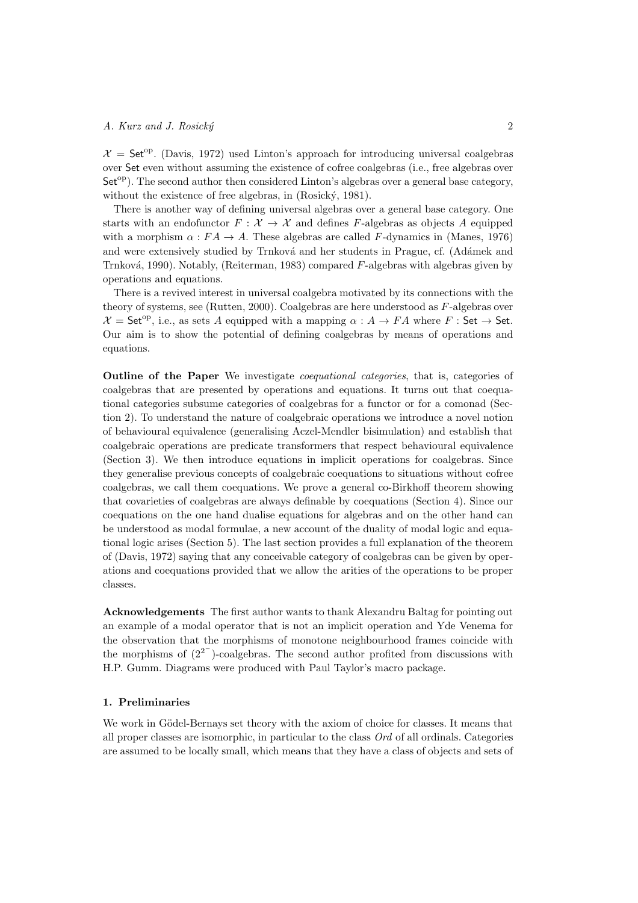$\mathcal{X} =$  Set<sup>op</sup>. (Davis, 1972) used Linton's approach for introducing universal coalgebras over Set even without assuming the existence of cofree coalgebras (i.e., free algebras over  $Set^{\text{op}}$ ). The second author then considered Linton's algebras over a general base category, without the existence of free algebras, in (Rosický, 1981).

There is another way of defining universal algebras over a general base category. One starts with an endofunctor  $F: \mathcal{X} \to \mathcal{X}$  and defines F-algebras as objects A equipped with a morphism  $\alpha$ :  $FA \rightarrow A$ . These algebras are called F-dynamics in (Manes, 1976) and were extensively studied by Trnková and her students in Prague, cf. (Adámek and Trnková, 1990). Notably, (Reiterman, 1983) compared  $F$ -algebras with algebras given by operations and equations.

There is a revived interest in universal coalgebra motivated by its connections with the theory of systems, see (Rutten, 2000). Coalgebras are here understood as F-algebras over  $\mathcal{X} = \mathsf{Set}^{\mathrm{op}}$ , i.e., as sets A equipped with a mapping  $\alpha : A \to FA$  where F : Set  $\to$  Set. Our aim is to show the potential of defining coalgebras by means of operations and equations.

Outline of the Paper We investigate coequational categories, that is, categories of coalgebras that are presented by operations and equations. It turns out that coequational categories subsume categories of coalgebras for a functor or for a comonad (Section 2). To understand the nature of coalgebraic operations we introduce a novel notion of behavioural equivalence (generalising Aczel-Mendler bisimulation) and establish that coalgebraic operations are predicate transformers that respect behavioural equivalence (Section 3). We then introduce equations in implicit operations for coalgebras. Since they generalise previous concepts of coalgebraic coequations to situations without cofree coalgebras, we call them coequations. We prove a general co-Birkhoff theorem showing that covarieties of coalgebras are always definable by coequations (Section 4). Since our coequations on the one hand dualise equations for algebras and on the other hand can be understood as modal formulae, a new account of the duality of modal logic and equational logic arises (Section 5). The last section provides a full explanation of the theorem of (Davis, 1972) saying that any conceivable category of coalgebras can be given by operations and coequations provided that we allow the arities of the operations to be proper classes.

Acknowledgements The first author wants to thank Alexandru Baltag for pointing out an example of a modal operator that is not an implicit operation and Yde Venema for the observation that the morphisms of monotone neighbourhood frames coincide with the morphisms of  $(2^{2})$ -coalgebras. The second author profited from discussions with H.P. Gumm. Diagrams were produced with Paul Taylor's macro package.

## 1. Preliminaries

We work in Gödel-Bernays set theory with the axiom of choice for classes. It means that all proper classes are isomorphic, in particular to the class Ord of all ordinals. Categories are assumed to be locally small, which means that they have a class of objects and sets of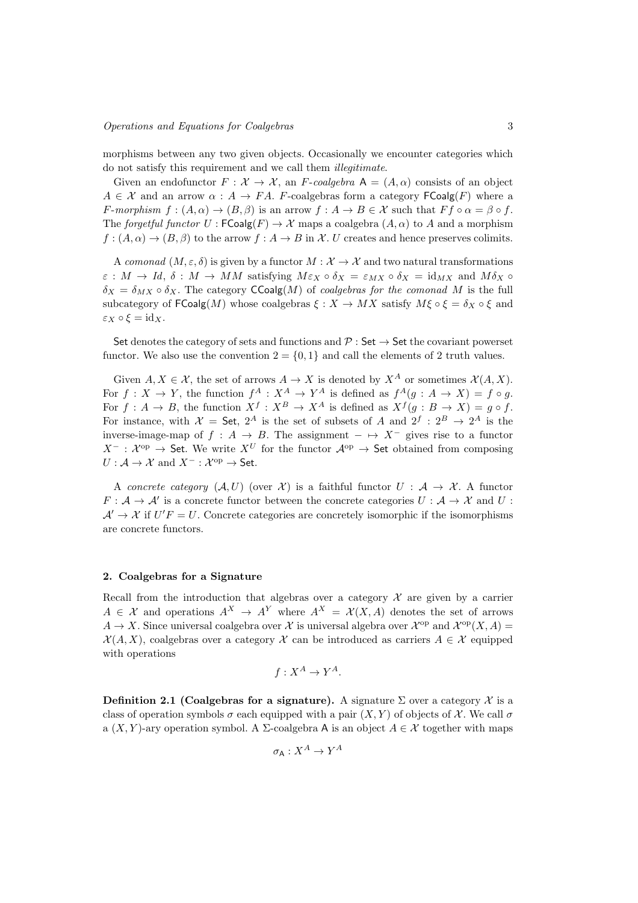morphisms between any two given objects. Occasionally we encounter categories which do not satisfy this requirement and we call them illegitimate.

Given an endofunctor  $F: \mathcal{X} \to \mathcal{X}$ , an F-coalgebra  $A = (A, \alpha)$  consists of an object  $A \in \mathcal{X}$  and an arrow  $\alpha : A \to FA$ . F-coalgebras form a category  $\mathsf{FCoalg}(F)$  where a F-morphism  $f:(A,\alpha)\to (B,\beta)$  is an arrow  $f:A\to B\in\mathcal{X}$  such that  $Ff\circ\alpha=\beta\circ f$ . The forgetful functor  $U : FCoalg(F) \to \mathcal{X}$  maps a coalgebra  $(A, \alpha)$  to A and a morphism  $f: (A, \alpha) \to (B, \beta)$  to the arrow  $f: A \to B$  in X. U creates and hence preserves colimits.

A comonad  $(M, \varepsilon, \delta)$  is given by a functor  $M : \mathcal{X} \to \mathcal{X}$  and two natural transformations  $\varepsilon : M \to Id$ ,  $\delta : M \to MM$  satisfying  $M \varepsilon_X \circ \delta_X = \varepsilon_{MX} \circ \delta_X = id_{MX}$  and  $M \delta_X \circ$  $\delta_X = \delta_{MX} \circ \delta_X$ . The category CCoalg(M) of coalgebras for the comonad M is the full subcategory of  $\mathsf{FCoalg}(M)$  whose coalgebras  $\xi : X \to MX$  satisfy  $M\xi \circ \xi = \delta_X \circ \xi$  and  $\varepsilon_X \circ \xi = \mathrm{id}_X.$ 

Set denotes the category of sets and functions and  $\mathcal{P}$  : Set  $\rightarrow$  Set the covariant powerset functor. We also use the convention  $2 = \{0, 1\}$  and call the elements of 2 truth values.

Given  $A, X \in \mathcal{X}$ , the set of arrows  $A \to X$  is denoted by  $X^A$  or sometimes  $\mathcal{X}(A, X)$ . For  $f: X \to Y$ , the function  $f^A: X^A \to Y^A$  is defined as  $f^A(g: A \to X) = f \circ g$ . For  $f: A \to B$ , the function  $X^f: X^B \to X^A$  is defined as  $X^f(g: B \to X) = g \circ f$ . For instance, with  $\mathcal{X} =$  Set,  $2^A$  is the set of subsets of A and  $2^f : 2^B \rightarrow 2^A$  is the inverse-image-map of  $f : A \to B$ . The assignment  $-\mapsto X^-$  gives rise to a functor  $X^-$  :  $\mathcal{X}^{\mathrm{op}}$   $\to$  Set. We write  $X^U$  for the functor  $\mathcal{A}^{\mathrm{op}}$   $\to$  Set obtained from composing  $U: \mathcal{A} \to \mathcal{X}$  and  $X^-: \mathcal{X}^{\text{op}} \to \mathsf{Set}.$ 

A concrete category  $(A, U)$  (over X) is a faithful functor  $U : A \rightarrow X$ . A functor  $F: \mathcal{A} \to \mathcal{A}'$  is a concrete functor between the concrete categories  $U: \mathcal{A} \to \mathcal{X}$  and  $U$ :  $A' \rightarrow X$  if  $U'F = U$ . Concrete categories are concretely isomorphic if the isomorphisms are concrete functors.

#### 2. Coalgebras for a Signature

Recall from the introduction that algebras over a category  $\mathcal X$  are given by a carrier  $A \in \mathcal{X}$  and operations  $A^X \to A^Y$  where  $A^X = \mathcal{X}(X, A)$  denotes the set of arrows  $A \to X$ . Since universal coalgebra over X is universal algebra over  $\mathcal{X}^{op}$  and  $\mathcal{X}^{op}(X, A) =$  $\mathcal{X}(A, X)$ , coalgebras over a category X can be introduced as carriers  $A \in \mathcal{X}$  equipped with operations

$$
f: X^A \to Y^A.
$$

Definition 2.1 (Coalgebras for a signature). A signature  $\Sigma$  over a category X is a class of operation symbols  $\sigma$  each equipped with a pair  $(X, Y)$  of objects of X. We call  $\sigma$ a  $(X, Y)$ -ary operation symbol. A  $\Sigma$ -coalgebra A is an object  $A \in \mathcal{X}$  together with maps

$$
\sigma_{\mathsf{A}}:X^{A}\to Y^{A}
$$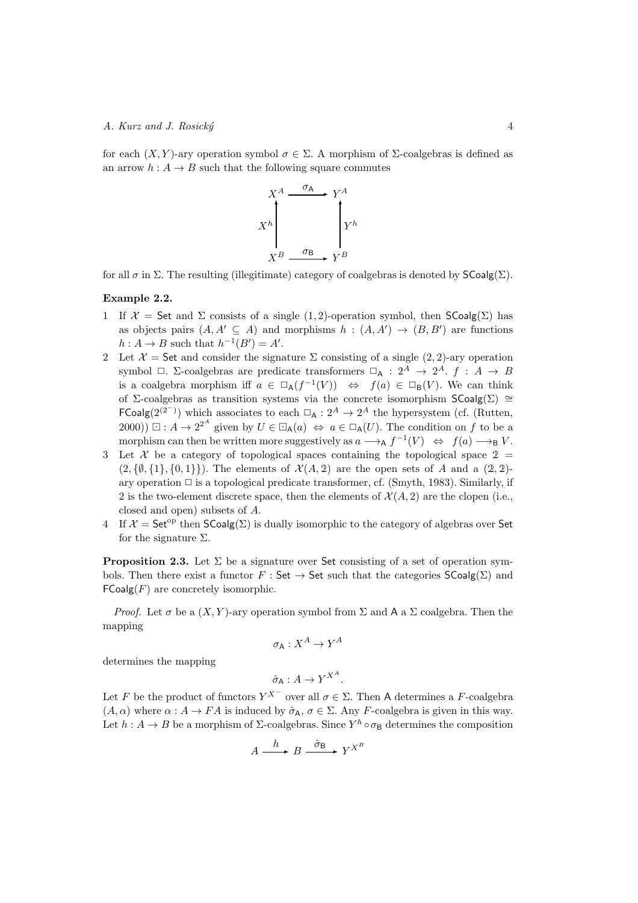for each  $(X, Y)$ -ary operation symbol  $\sigma \in \Sigma$ . A morphism of Σ-coalgebras is defined as an arrow  $h: A \to B$  such that the following square commutes



for all  $\sigma$  in  $\Sigma$ . The resulting (illegitimate) category of coalgebras is denoted by  $\mathsf{SCoalg}(\Sigma)$ .

# Example 2.2.

- 1 If  $\mathcal{X} =$  Set and  $\Sigma$  consists of a single (1, 2)-operation symbol, then  $\mathsf{SCoalg}(\Sigma)$  has as objects pairs  $(A, A' \subseteq A)$  and morphisms  $h : (A, A') \rightarrow (B, B')$  are functions  $h: A \to B$  such that  $h^{-1}(B') = A'$ .
- 2 Let  $\mathcal{X} =$  Set and consider the signature  $\Sigma$  consisting of a single  $(2, 2)$ -ary operation symbol  $\Box$ .  $\Sigma$ -coalgebras are predicate transformers  $\Box_A : 2^A \rightarrow 2^A$ .  $f : A \rightarrow B$ is a coalgebra morphism iff  $a \in \Box_A(f^{-1}(V)) \Leftrightarrow f(a) \in \Box_B(V)$ . We can think of ∑-coalgebras as transition systems via the concrete isomorphism  $\mathsf{SCoalg}(\Sigma) \cong$ FCoalg(2<sup>(2−)</sup>) which associates to each  $\Box$ <sub>A</sub> : 2<sup>A</sup> → 2<sup>A</sup> the hypersystem (cf. (Rutten, 2000))  $\Box: A \to 2^{2^A}$  given by  $U \in \Box_A(a) \Leftrightarrow a \in \Box_A(U)$ . The condition on f to be a morphism can then be written more suggestively as  $a \longrightarrow_A f^{-1}(V) \iff f(a) \longrightarrow_B V$ .
- 3 Let X be a category of topological spaces containing the topological space  $2 =$  $(2,\{\emptyset,\{1\},\{0,1\}\})$ . The elements of  $\mathcal{X}(A, \mathcal{Z})$  are the open sets of A and a  $(2, 2)$ ary operation  $\Box$  is a topological predicate transformer, cf. (Smyth, 1983). Similarly, if 2 is the two-element discrete space, then the elements of  $\mathcal{X}(A, 2)$  are the clopen (i.e., closed and open) subsets of A.
- 4 If  $\mathcal{X} = \mathsf{Set}^{\mathrm{op}}$  then  $\mathsf{SCoalg}(\Sigma)$  is dually isomorphic to the category of algebras over Set for the signature  $\Sigma$ .

**Proposition 2.3.** Let  $\Sigma$  be a signature over Set consisting of a set of operation symbols. Then there exist a functor  $F : \mathsf{Set} \to \mathsf{Set}$  such that the categories  $\mathsf{SCoalg}(\Sigma)$  and  $FCoalg(F)$  are concretely isomorphic.

*Proof.* Let  $\sigma$  be a  $(X, Y)$ -ary operation symbol from  $\Sigma$  and A a  $\Sigma$  coalgebra. Then the mapping

$$
\sigma_{\mathsf{A}}:X^{A}\to Y^{A}
$$

determines the mapping

$$
\hat{\sigma}_A: A \to Y^{X^A}.
$$

Let F be the product of functors  $Y^{X^-}$  over all  $\sigma \in \Sigma$ . Then A determines a F-coalgebra  $(A, \alpha)$  where  $\alpha : A \to FA$  is induced by  $\hat{\sigma}_A$ ,  $\sigma \in \Sigma$ . Any F-coalgebra is given in this way. Let  $h: A \to B$  be a morphism of  $\Sigma$ -coalgebras. Since  $Y^h \circ \sigma_B$  determines the composition

$$
A \xrightarrow{h} B \xrightarrow{\hat{\sigma}_{\mathsf{B}}} Y^{X^B}
$$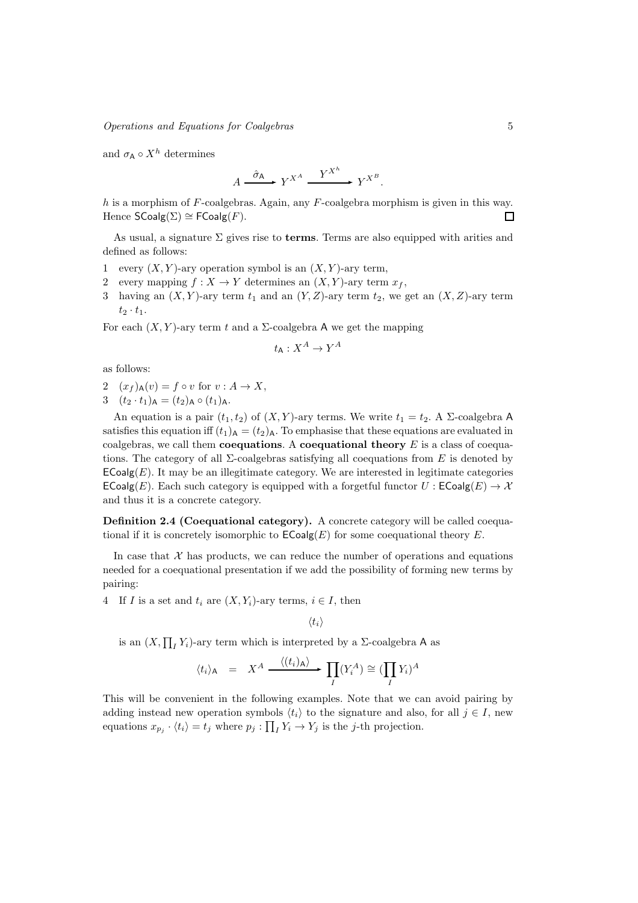and  $\sigma_A \circ X^h$  determines

$$
A \xrightarrow{\hat{\sigma}_{\mathsf{A}}} Y^{X^{\mathsf{A}}} \xrightarrow{Y^{X^{\mathsf{A}}}} Y^{X^{\mathsf{B}}}.
$$

h is a morphism of  $F$ -coalgebras. Again, any  $F$ -coalgebra morphism is given in this way. Hence  $\mathsf{SCoalg}(\Sigma) \cong \mathsf{FCoalg}(F)$ .  $\Box$ 

As usual, a signature  $\Sigma$  gives rise to **terms**. Terms are also equipped with arities and defined as follows:

- 1 every  $(X, Y)$ -ary operation symbol is an  $(X, Y)$ -ary term,
- 2 every mapping  $f: X \to Y$  determines an  $(X, Y)$ -ary term  $x_f$ ,
- 3 having an  $(X, Y)$ -ary term  $t_1$  and an  $(Y, Z)$ -ary term  $t_2$ , we get an  $(X, Z)$ -ary term  $t_2 \cdot t_1$ .

For each  $(X, Y)$ -ary term t and a  $\Sigma$ -coalgebra A we get the mapping

$$
t_{\mathsf{A}} : X^A \to Y^A
$$

as follows:

- 2  $(x_f)_{\mathsf{A}}(v) = f \circ v$  for  $v : A \to X$ ,
- 3  $(t_2 \cdot t_1)_{\mathsf{A}} = (t_2)_{\mathsf{A}} \circ (t_1)_{\mathsf{A}}.$

An equation is a pair  $(t_1, t_2)$  of  $(X, Y)$ -ary terms. We write  $t_1 = t_2$ . A  $\Sigma$ -coalgebra A satisfies this equation iff  $(t_1)$ <sub>A</sub> =  $(t_2)$ <sub>A</sub>. To emphasise that these equations are evaluated in coalgebras, we call them **coequations**. A **coequational theory**  $E$  is a class of coequations. The category of all  $\Sigma$ -coalgebras satisfying all coequations from E is denoted by  $\mathsf{ECoalg}(E)$ . It may be an illegitimate category. We are interested in legitimate categories  $\mathsf{ECoalg}(E)$ . Each such category is equipped with a forgetful functor  $U : \mathsf{ECoalg}(E) \to \mathcal{X}$ and thus it is a concrete category.

Definition 2.4 (Coequational category). A concrete category will be called coequational if it is concretely isomorphic to  $\mathsf{ECoalg}(E)$  for some coequational theory E.

In case that  $X$  has products, we can reduce the number of operations and equations needed for a coequational presentation if we add the possibility of forming new terms by pairing:

4 If I is a set and  $t_i$  are  $(X, Y_i)$ -ary terms,  $i \in I$ , then

 $\langle t_i \rangle$ 

is an  $(X, \prod_I Y_i)$ -ary term which is interpreted by a  $\Sigma$ -coalgebra A as

$$
\langle t_i \rangle_{\mathsf{A}} = X^A \xrightarrow{\langle (t_i)_{\mathsf{A}} \rangle} \prod_I (Y_i^A) \cong (\prod_I Y_i)^A
$$

This will be convenient in the following examples. Note that we can avoid pairing by adding instead new operation symbols  $\langle t_i \rangle$  to the signature and also, for all  $j \in I$ , new equations  $x_{p_j} \cdot \langle t_i \rangle = t_j$  where  $p_j : \prod_I Y_i \to Y_j$  is the j-th projection.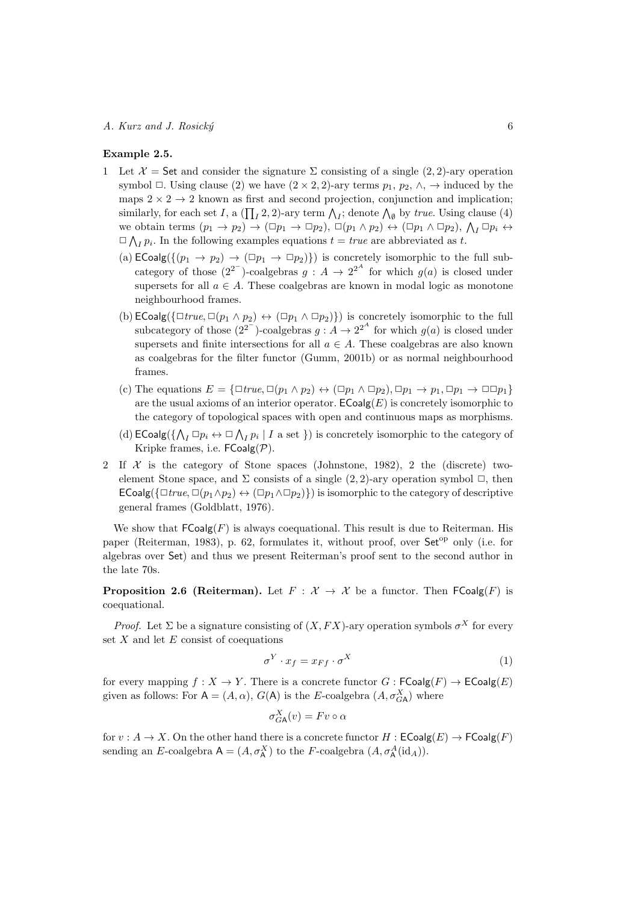# Example 2.5.

- 1 Let  $\mathcal{X} =$  Set and consider the signature  $\Sigma$  consisting of a single (2, 2)-ary operation symbol  $\Box$ . Using clause (2) we have  $(2 \times 2, 2)$ -ary terms  $p_1, p_2, \land$ ,  $\rightarrow$  induced by the maps  $2 \times 2 \rightarrow 2$  known as first and second projection, conjunction and implication; similarly, for each set I, a  $(\prod_I 2, 2)$ -ary term  $\bigwedge_I$ ; denote  $\bigwedge_{\emptyset}$  by true. Using clause (4) we obtain terms  $(p_1 \to p_2) \to (\Box p_1 \to \Box p_2), \Box (p_1 \land p_2) \leftrightarrow (\Box p_1 \land \Box p_2), \Lambda_I \Box p_i \leftrightarrow \Lambda_I$  $\Box \bigwedge_I p_i$ . In the following examples equations  $t = true$  are abbreviated as t.
	- (a)  $\mathsf{ECoalg}(\{(p_1 \to p_2) \to (\Box p_1 \to \Box p_2)\})$  is concretely isomorphic to the full subcategory of those  $(2^{2})$ -coalgebras  $g : A \rightarrow 2^{2^{A}}$  for which  $g(a)$  is closed under supersets for all  $a \in A$ . These coalgebras are known in modal logic as monotone neighbourhood frames.
	- (b)  $\mathsf{ECoalg}(\{\exists \text{true}, \Box(p_1 \land p_2) \leftrightarrow (\Box p_1 \land \Box p_2)\})$  is concretely isomorphic to the full subcategory of those  $(2^{2^{-}})$ -coalgebras  $g : A \to 2^{2^{A}}$  for which  $g(a)$  is closed under supersets and finite intersections for all  $a \in A$ . These coalgebras are also known as coalgebras for the filter functor (Gumm, 2001b) or as normal neighbourhood frames.
	- (c) The equations  $E = {\exists \Box true, \Box (p_1 \land p_2) \leftrightarrow (\Box p_1 \land \Box p_2), \Box p_1 \to p_1, \Box p_1 \to \Box \Box p_1}$ are the usual axioms of an interior operator.  $\mathsf{ECoalg}(E)$  is concretely isomorphic to the category of topological spaces with open and continuous maps as morphisms.
	- (d)  $\mathsf{ECoalg}(\{\bigwedge_I \Box p_i \leftrightarrow \Box \bigwedge_I p_i \mid I \text{ a set }\})$  is concretely isomorphic to the category of Kripke frames, i.e.  $\mathsf{FCoalg}(\mathcal{P})$ .
- 2 If  $\mathcal X$  is the category of Stone spaces (Johnstone, 1982), 2 the (discrete) twoelement Stone space, and  $\Sigma$  consists of a single (2, 2)-ary operation symbol  $\square$ , then  $\mathsf{ECoalg}(\{\Box\, true, \Box(p_1 \land p_2) \leftrightarrow (\Box p_1 \land \Box p_2)\})$  is isomorphic to the category of descriptive general frames (Goldblatt, 1976).

We show that  $\mathsf{FCoalg}(F)$  is always coequational. This result is due to Reiterman. His paper (Reiterman, 1983), p. 62, formulates it, without proof, over  $Set^{\text{op}}$  only (i.e. for algebras over Set) and thus we present Reiterman's proof sent to the second author in the late 70s.

**Proposition 2.6 (Reiterman).** Let  $F : \mathcal{X} \to \mathcal{X}$  be a functor. Then  $FCoalg(F)$  is coequational.

*Proof.* Let  $\Sigma$  be a signature consisting of  $(X, FX)$ -ary operation symbols  $\sigma^X$  for every set  $X$  and let  $E$  consist of coequations

$$
\sigma^Y \cdot x_f = x_{Ff} \cdot \sigma^X \tag{1}
$$

for every mapping  $f : X \to Y$ . There is a concrete functor  $G : F\text{Coalg}(F) \to E\text{Coalg}(E)$ given as follows: For  $A = (A, \alpha)$ ,  $G(A)$  is the E-coalgebra  $(A, \sigma_{GA}^X)$  where

$$
\sigma_{GA}^X(v) = Fv \circ \alpha
$$

for  $v : A \to X$ . On the other hand there is a concrete functor  $H : ECoalg(E) \to FCoalg(F)$ sending an E-coalgebra  $A = (A, \sigma_A^X)$  to the F-coalgebra  $(A, \sigma_A^A(\mathrm{id}_A)).$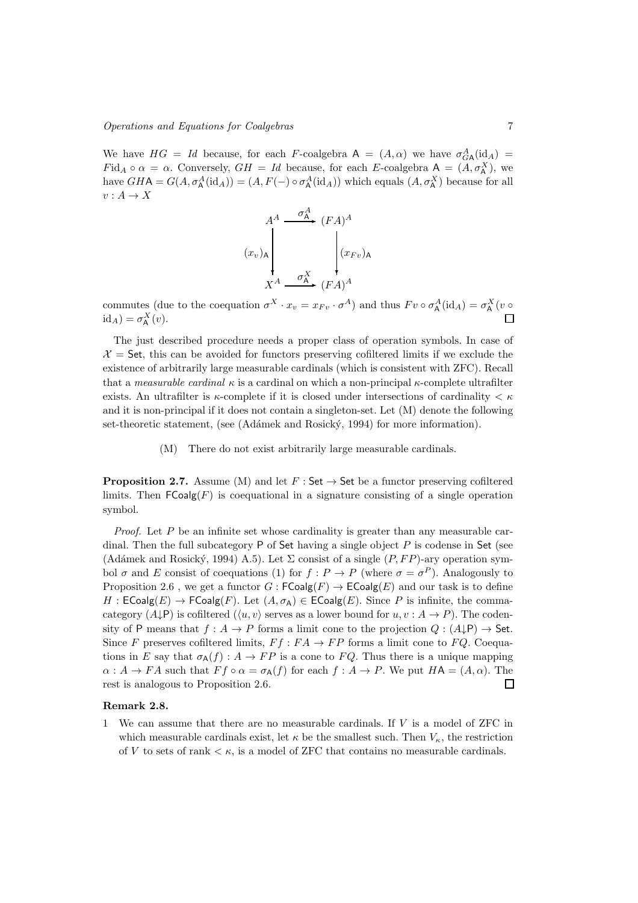We have  $HG = Id$  because, for each F-coalgebra  $A = (A, \alpha)$  we have  $\sigma_{GA}^A(\mathrm{id}_A) =$  $Fid_A \circ \alpha = \alpha$ . Conversely,  $GH = Id$  because, for each E-coalgebra  $A = (A, \sigma_A^X)$ , we have  $GHA = G(A, \sigma_A^A(\text{id}_A)) = (A, F(-) \circ \sigma_A^A(\text{id}_A))$  which equals  $(A, \sigma_A^X)$  because for all  $v: A \to X$ 



commutes (due to the coequation  $\sigma^X \cdot x_v = x_{Fv} \cdot \sigma^A$ ) and thus  $Fv \circ \sigma^A_A(\text{id}_A) = \sigma^X_A(v \circ \sigma^A_A)$  $id_A$ ) =  $\sigma_A^X(v)$ . П

The just described procedure needs a proper class of operation symbols. In case of  $\mathcal{X} =$  Set, this can be avoided for functors preserving cofiltered limits if we exclude the existence of arbitrarily large measurable cardinals (which is consistent with ZFC). Recall that a *measurable cardinal*  $\kappa$  is a cardinal on which a non-principal  $\kappa$ -complete ultrafilter exists. An ultrafilter is  $\kappa$ -complete if it is closed under intersections of cardinality  $\lt \kappa$ and it is non-principal if it does not contain a singleton-set. Let (M) denote the following set-theoretic statement, (see (Adámek and Rosický, 1994) for more information).

(M) There do not exist arbitrarily large measurable cardinals.

**Proposition 2.7.** Assume (M) and let  $F : Set \rightarrow Set$  be a functor preserving cofiltered limits. Then  $\mathsf{FCoalg}(F)$  is coequational in a signature consisting of a single operation symbol.

*Proof.* Let  $P$  be an infinite set whose cardinality is greater than any measurable cardinal. Then the full subcategory  $P$  of Set having a single object  $P$  is codense in Set (see (Adámek and Rosický, 1994) A.5). Let  $\Sigma$  consist of a single  $(P, FP)$ -ary operation symbol  $\sigma$  and E consist of coequations (1) for  $f: P \to P$  (where  $\sigma = \sigma^P$ ). Analogously to Proposition 2.6, we get a functor  $G: \mathsf{FCoalg}(F) \to \mathsf{ECoalg}(E)$  and our task is to define  $H : ECoalg(E) \to FCoalg(F)$ . Let  $(A, \sigma_A) \in ECoalg(E)$ . Since P is infinite, the commacategory  $(A \downarrow P)$  is cofiltered  $(\langle u, v \rangle)$  serves as a lower bound for  $u, v : A \to P$ ). The codensity of P means that  $f : A \to P$  forms a limit cone to the projection  $Q : (A \downarrow P) \to$  Set. Since F preserves cofiltered limits,  $F f : FA \to FP$  forms a limit cone to FQ. Coequations in E say that  $\sigma_{A}(f)$ :  $A \rightarrow FP$  is a cone to FQ. Thus there is a unique mapping  $\alpha: A \to FA$  such that  $Ff \circ \alpha = \sigma_A(f)$  for each  $f: A \to P$ . We put  $HA = (A, \alpha)$ . The rest is analogous to Proposition 2.6.  $\Box$ 

# Remark 2.8.

1 We can assume that there are no measurable cardinals. If  $V$  is a model of ZFC in which measurable cardinals exist, let  $\kappa$  be the smallest such. Then  $V_{\kappa}$ , the restriction of V to sets of rank  $\lt \kappa$ , is a model of ZFC that contains no measurable cardinals.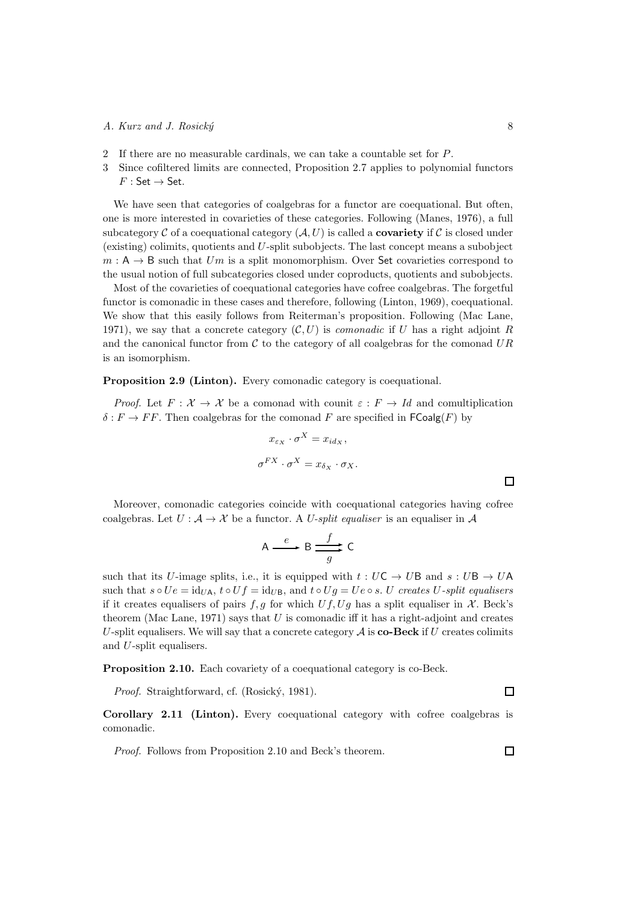- 2 If there are no measurable cardinals, we can take a countable set for P.
- 3 Since cofiltered limits are connected, Proposition 2.7 applies to polynomial functors  $F : Set \rightarrow Set.$

We have seen that categories of coalgebras for a functor are coequational. But often, one is more interested in covarieties of these categories. Following (Manes, 1976), a full subcategory  $\mathcal C$  of a coequational category  $(\mathcal A, U)$  is called a **covariety** if  $\mathcal C$  is closed under (existing) colimits, quotients and U-split subobjects. The last concept means a subobject  $m : A \rightarrow B$  such that Um is a split monomorphism. Over Set covarieties correspond to the usual notion of full subcategories closed under coproducts, quotients and subobjects.

Most of the covarieties of coequational categories have cofree coalgebras. The forgetful functor is comonadic in these cases and therefore, following (Linton, 1969), coequational. We show that this easily follows from Reiterman's proposition. Following (Mac Lane, 1971), we say that a concrete category  $(C, U)$  is *comonadic* if U has a right adjoint R and the canonical functor from  $\mathcal C$  to the category of all coalgebras for the comonad  $UR$ is an isomorphism.

Proposition 2.9 (Linton). Every comonadic category is coequational.

*Proof.* Let  $F: \mathcal{X} \to \mathcal{X}$  be a comonad with counit  $\varepsilon: F \to Id$  and comultiplication  $\delta: F \to FF$ . Then coalgebras for the comonad F are specified in  $\mathsf{FCoalg}(F)$  by

$$
x_{\varepsilon_X} \cdot \sigma^X = x_{id_X},
$$
  

$$
\sigma^{FX} \cdot \sigma^X = x_{\delta_X} \cdot \sigma_X.
$$

Moreover, comonadic categories coincide with coequational categories having cofree coalgebras. Let  $U : A \to X$  be a functor. A U-split equaliser is an equaliser in A

$$
A \xrightarrow{e} B \xrightarrow{f} C
$$

such that its U-image splits, i.e., it is equipped with  $t : UC \rightarrow UB$  and  $s : UB \rightarrow UA$ such that  $s \circ Ue = id_{U_A}$ ,  $t \circ Uf = id_{U_B}$ , and  $t \circ Ug = Ue \circ s$ . U creates U-split equalisers if it creates equalisers of pairs f, g for which  $Uf, Ug$  has a split equaliser in X. Beck's theorem (Mac Lane, 1971) says that  $U$  is comonadic iff it has a right-adjoint and creates U-split equalisers. We will say that a concrete category  $A$  is **co-Beck** if U creates colimits and U-split equalisers.

Proposition 2.10. Each covariety of a coequational category is co-Beck.

Proof. Straightforward, cf. (Rosický, 1981).

Corollary 2.11 (Linton). Every coequational category with cofree coalgebras is comonadic.

Proof. Follows from Proposition 2.10 and Beck's theorem.

 $\overline{\mathsf{I}}$ 

 $\Box$ 

 $\Box$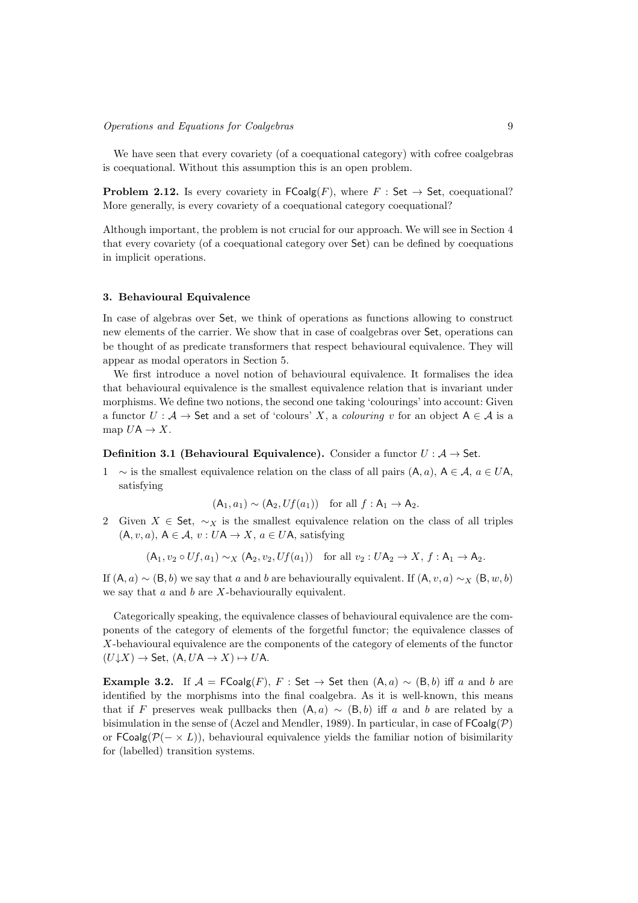We have seen that every covariety (of a coequational category) with cofree coalgebras is coequational. Without this assumption this is an open problem.

**Problem 2.12.** Is every covariety in  $\mathsf{FCoalg}(F)$ , where  $F : \mathsf{Set} \to \mathsf{Set}$ , coequational? More generally, is every covariety of a coequational category coequational?

Although important, the problem is not crucial for our approach. We will see in Section 4 that every covariety (of a coequational category over Set) can be defined by coequations in implicit operations.

## 3. Behavioural Equivalence

In case of algebras over Set, we think of operations as functions allowing to construct new elements of the carrier. We show that in case of coalgebras over Set, operations can be thought of as predicate transformers that respect behavioural equivalence. They will appear as modal operators in Section 5.

We first introduce a novel notion of behavioural equivalence. It formalises the idea that behavioural equivalence is the smallest equivalence relation that is invariant under morphisms. We define two notions, the second one taking 'colourings' into account: Given a functor  $U : A \to \mathsf{Set}$  and a set of 'colours' X, a colouring v for an object  $A \in \mathcal{A}$  is a map  $U\mathsf{A} \to X$ .

**Definition 3.1 (Behavioural Equivalence).** Consider a functor  $U : A \rightarrow$  Set.

1 ∼ is the smallest equivalence relation on the class of all pairs  $(A, a)$ ,  $A \in \mathcal{A}$ ,  $a \in U$ A, satisfying

 $(A_1, a_1) \sim (A_2, Uf(a_1))$  for all  $f : A_1 \rightarrow A_2$ .

2 Given  $X \in$  Set,  $\sim_X$  is the smallest equivalence relation on the class of all triples  $(A, v, a), A \in \mathcal{A}, v : U A \rightarrow X, a \in U A$ , satisfying

$$
(\mathsf{A}_1, v_2 \circ Uf, a_1) \sim_X (\mathsf{A}_2, v_2, Uf(a_1)) \quad \text{for all } v_2: U\mathsf{A}_2 \to X, f: \mathsf{A}_1 \to \mathsf{A}_2.
$$

If  $(A, a) \sim (B, b)$  we say that a and b are behaviourally equivalent. If  $(A, v, a) \sim_X (B, w, b)$ we say that  $a$  and  $b$  are  $X$ -behaviourally equivalent.

Categorically speaking, the equivalence classes of behavioural equivalence are the components of the category of elements of the forgetful functor; the equivalence classes of X-behavioural equivalence are the components of the category of elements of the functor  $(U\!\downarrow\!\! X)\to$  Set,  $(A, UA\to X)\mapsto UA.$ 

Example 3.2. If  $\mathcal{A} = \mathsf{FCoalg}(F)$ , F : Set  $\rightarrow$  Set then  $(A, a) \sim (B, b)$  iff a and b are identified by the morphisms into the final coalgebra. As it is well-known, this means that if F preserves weak pullbacks then  $(A, a) \sim (B, b)$  iff a and b are related by a bisimulation in the sense of (Aczel and Mendler, 1989). In particular, in case of  $\mathsf{FCoalg}(\mathcal{P})$ or FCoalg( $\mathcal{P}(- \times L)$ ), behavioural equivalence yields the familiar notion of bisimilarity for (labelled) transition systems.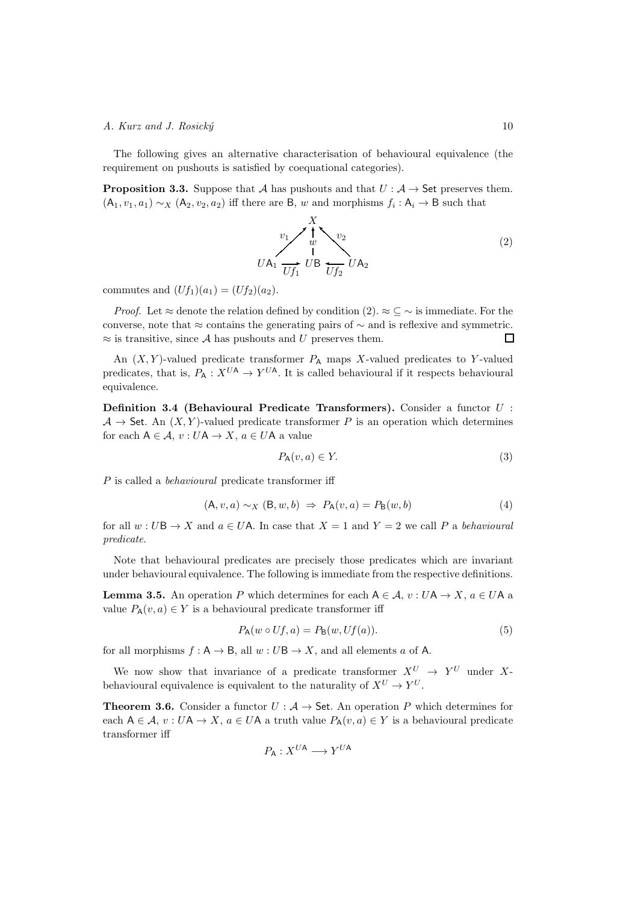The following gives an alternative characterisation of behavioural equivalence (the requirement on pushouts is satisfied by coequational categories).

**Proposition 3.3.** Suppose that A has pushouts and that  $U : A \rightarrow$  Set preserves them.  $(A_1, v_1, a_1) \sim_X (A_2, v_2, a_2)$  iff there are B, w and morphisms  $f_i : A_i \to B$  such that



commutes and  $(Uf_1)(a_1) = (Uf_2)(a_2)$ .

*Proof.* Let  $\approx$  denote the relation defined by condition (2).  $\approx \subseteq \sim$  is immediate. For the converse, note that ≈ contains the generating pairs of  $\sim$  and is reflexive and symmetric.  $\approx$  is transitive, since A has pushouts and U preserves them.  $\Box$ 

An  $(X, Y)$ -valued predicate transformer  $P_A$  maps X-valued predicates to Y-valued predicates, that is,  $P_A: X^{UA} \to Y^{UA}$ . It is called behavioural if it respects behavioural equivalence.

Definition 3.4 (Behavioural Predicate Transformers). Consider a functor U :  $\mathcal{A} \to$  Set. An  $(X, Y)$ -valued predicate transformer P is an operation which determines for each  $A \in \mathcal{A}$ ,  $v: UA \rightarrow X$ ,  $a \in UA$  a value

$$
P_{\mathsf{A}}(v, a) \in Y. \tag{3}
$$

P is called a behavioural predicate transformer iff

$$
(\mathsf{A}, v, a) \sim_X (\mathsf{B}, w, b) \Rightarrow P_\mathsf{A}(v, a) = P_\mathsf{B}(w, b) \tag{4}
$$

for all  $w: U\mathsf{B} \to X$  and  $a \in U\mathsf{A}$ . In case that  $X = 1$  and  $Y = 2$  we call P a behavioural predicate.

Note that behavioural predicates are precisely those predicates which are invariant under behavioural equivalence. The following is immediate from the respective definitions.

**Lemma 3.5.** An operation P which determines for each  $A \in \mathcal{A}$ ,  $v : U \mathsf{A} \to X$ ,  $a \in U \mathsf{A}$  a value  $P_{\mathsf{A}}(v, a) \in Y$  is a behavioural predicate transformer iff

$$
P_{\mathsf{A}}(w \circ Uf, a) = P_{\mathsf{B}}(w, Uf(a)).\tag{5}
$$

for all morphisms  $f : A \to B$ , all  $w : UB \to X$ , and all elements a of A.

We now show that invariance of a predicate transformer  $X^U \rightarrow Y^U$  under Xbehavioural equivalence is equivalent to the naturality of  $X^U \to Y^U$ .

**Theorem 3.6.** Consider a functor  $U : A \rightarrow$  Set. An operation P which determines for each  $A \in \mathcal{A}$ ,  $v: UA \to X$ ,  $a \in UA$  a truth value  $P_A(v, a) \in Y$  is a behavioural predicate transformer iff

$$
P_{\mathsf{A}}:X^{U\mathsf{A}}\longrightarrow Y^{U\mathsf{A}}
$$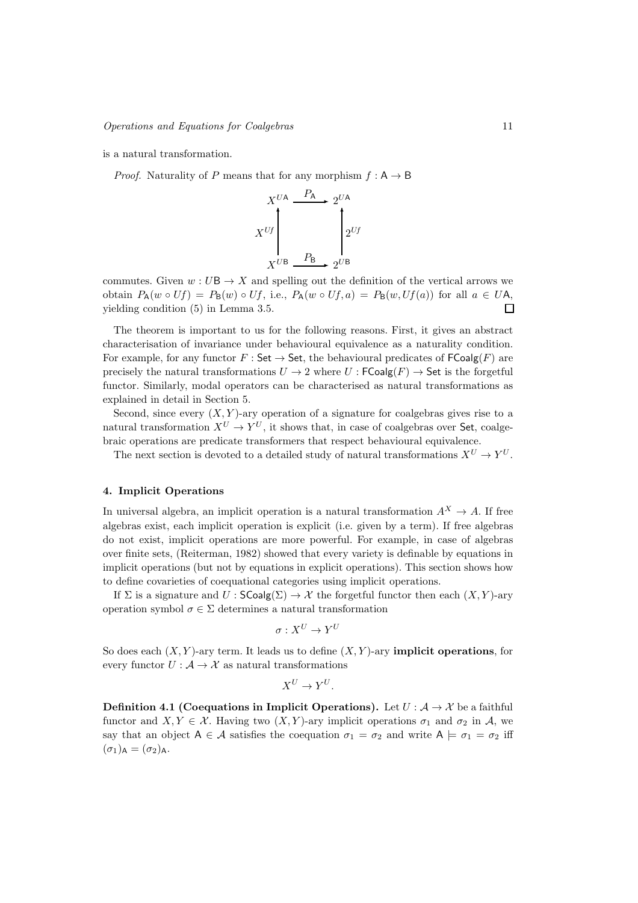is a natural transformation.

*Proof.* Naturality of P means that for any morphism  $f : A \rightarrow B$ 



commutes. Given  $w: U\mathsf{B} \to X$  and spelling out the definition of the vertical arrows we obtain  $P_{\mathsf{A}}(w \circ Uf) = P_{\mathsf{B}}(w) \circ Uf$ , i.e.,  $P_{\mathsf{A}}(w \circ Uf, a) = P_{\mathsf{B}}(w, Uf(a))$  for all  $a \in U\mathsf{A}$ , yielding condition (5) in Lemma 3.5.  $\Box$ 

The theorem is important to us for the following reasons. First, it gives an abstract characterisation of invariance under behavioural equivalence as a naturality condition. For example, for any functor  $F : \mathsf{Set} \to \mathsf{Set}$ , the behavioural predicates of  $\mathsf{FCoalg}(F)$  are precisely the natural transformations  $U \to 2$  where  $U : FCoalg(F) \to Set$  is the forgetful functor. Similarly, modal operators can be characterised as natural transformations as explained in detail in Section 5.

Second, since every  $(X, Y)$ -ary operation of a signature for coalgebras gives rise to a natural transformation  $X^U \to Y^U$ , it shows that, in case of coalgebras over Set, coalgebraic operations are predicate transformers that respect behavioural equivalence.

The next section is devoted to a detailed study of natural transformations  $X^U \to Y^U$ .

# 4. Implicit Operations

In universal algebra, an implicit operation is a natural transformation  $A^X \to A$ . If free algebras exist, each implicit operation is explicit (i.e. given by a term). If free algebras do not exist, implicit operations are more powerful. For example, in case of algebras over finite sets, (Reiterman, 1982) showed that every variety is definable by equations in implicit operations (but not by equations in explicit operations). This section shows how to define covarieties of coequational categories using implicit operations.

If  $\Sigma$  is a signature and  $U : \mathsf{SCoalg}(\Sigma) \to \mathcal{X}$  the forgetful functor then each  $(X, Y)$ -ary operation symbol  $\sigma \in \Sigma$  determines a natural transformation

$$
\sigma:X^U\to Y^U
$$

So does each  $(X, Y)$ -ary term. It leads us to define  $(X, Y)$ -ary **implicit operations**, for every functor  $U: \mathcal{A} \to \mathcal{X}$  as natural transformations

$$
X^U\to Y^U.
$$

**Definition 4.1 (Coequations in Implicit Operations).** Let  $U : \mathcal{A} \to \mathcal{X}$  be a faithful functor and  $X, Y \in \mathcal{X}$ . Having two  $(X, Y)$ -ary implicit operations  $\sigma_1$  and  $\sigma_2$  in A, we say that an object  $A \in \mathcal{A}$  satisfies the coequation  $\sigma_1 = \sigma_2$  and write  $A \models \sigma_1 = \sigma_2$  iff  $(\sigma_1)_{\mathsf{A}} = (\sigma_2)_{\mathsf{A}}$ .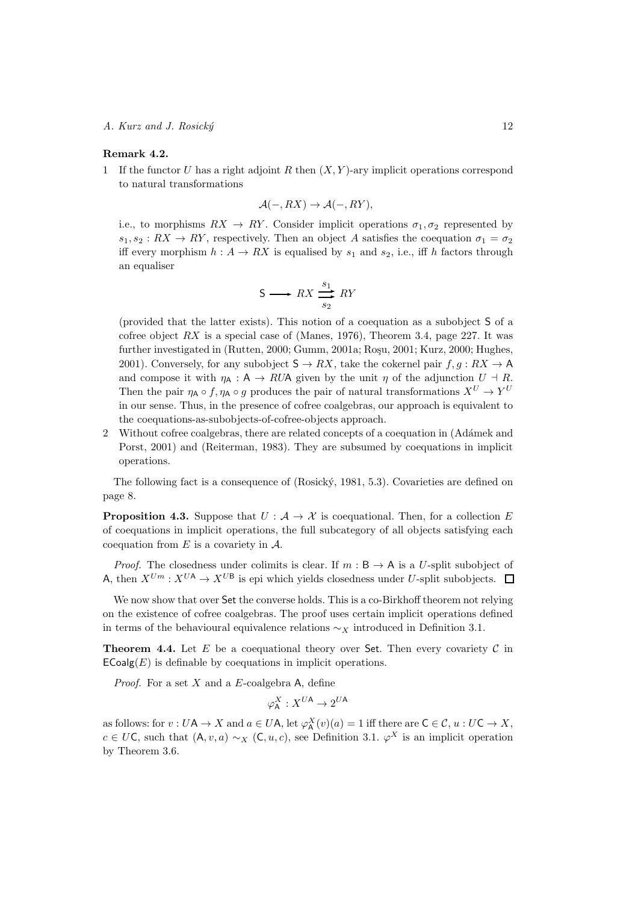## Remark 4.2.

1 If the functor U has a right adjoint R then  $(X, Y)$ -ary implicit operations correspond to natural transformations

$$
\mathcal{A}(-, RX) \to \mathcal{A}(-, RY),
$$

i.e., to morphisms  $RX \rightarrow RY$ . Consider implicit operations  $\sigma_1, \sigma_2$  represented by  $s_1, s_2 : RX \rightarrow RY$ , respectively. Then an object A satisfies the coequation  $\sigma_1 = \sigma_2$ iff every morphism  $h: A \to RX$  is equalised by  $s_1$  and  $s_2$ , i.e., iff h factors through an equaliser

$$
S \longrightarrow RX \xrightarrow[s_2]{s_1} RY
$$

(provided that the latter exists). This notion of a coequation as a subobject S of a cofree object  $RX$  is a special case of (Manes, 1976), Theorem 3.4, page 227. It was further investigated in (Rutten, 2000; Gumm, 2001a; Roșu, 2001; Kurz, 2000; Hughes, 2001). Conversely, for any subobject  $S \to RX$ , take the cokernel pair  $f, g: RX \to A$ and compose it with  $\eta_A : A \to RUA$  given by the unit  $\eta$  of the adjunction  $U \dashv R$ . Then the pair  $\eta_A \circ f$ ,  $\eta_A \circ g$  produces the pair of natural transformations  $X^U \to Y^U$ in our sense. Thus, in the presence of cofree coalgebras, our approach is equivalent to the coequations-as-subobjects-of-cofree-objects approach.

2 Without cofree coalgebras, there are related concepts of a coequation in (Adámek and Porst, 2001) and (Reiterman, 1983). They are subsumed by coequations in implicit operations.

The following fact is a consequence of (Rosický, 1981, 5.3). Covarieties are defined on page 8.

**Proposition 4.3.** Suppose that  $U : A \rightarrow \mathcal{X}$  is coequational. Then, for a collection E of coequations in implicit operations, the full subcategory of all objects satisfying each coequation from  $E$  is a covariety in  $A$ .

*Proof.* The closedness under colimits is clear. If  $m : B \to A$  is a U-split subobject of A, then  $X^{Um}: X^{UA} \to X^{UB}$  is epi which yields closedness under U-split subobjects.  $\Box$ 

We now show that over Set the converse holds. This is a co-Birkhoff theorem not relying on the existence of cofree coalgebras. The proof uses certain implicit operations defined in terms of the behavioural equivalence relations  $\sim_X$  introduced in Definition 3.1.

**Theorem 4.4.** Let E be a coequational theory over Set. Then every covariety  $C$  in  $\mathsf{ECoalg}(E)$  is definable by coequations in implicit operations.

*Proof.* For a set  $X$  and a  $E$ -coalgebra A, define

$$
\varphi^X_{\mathsf{A}}: X^{U\mathsf{A}} \to 2^{U\mathsf{A}}
$$

as follows: for  $v: U\mathsf{A} \to X$  and  $a \in U\mathsf{A}$ , let  $\varphi^X_\mathsf{A}(v)(a) = 1$  iff there are  $\mathsf{C} \in \mathcal{C}$ ,  $u: U\mathsf{C} \to X$ ,  $c \in U\mathsf{C}$ , such that  $(\mathsf{A}, v, a) \sim_X (\mathsf{C}, u, c)$ , see Definition 3.1.  $\varphi^X$  is an implicit operation by Theorem 3.6.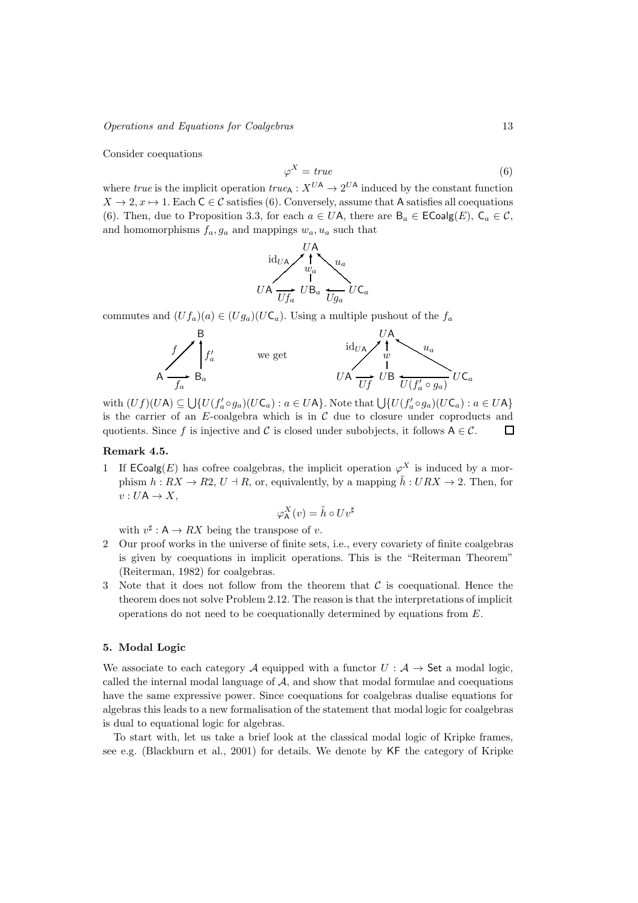## Operations and Equations for Coalgebras 13

Consider coequations

$$
\varphi^X = true \tag{6}
$$

where true is the implicit operation  $true_{\mathsf{A}} : X^{UA} \to 2^{UA}$  induced by the constant function  $X \to 2, x \mapsto 1$ . Each  $C \in \mathcal{C}$  satisfies (6). Conversely, assume that A satisfies all coequations (6). Then, due to Proposition 3.3, for each  $a \in U$ A, there are  $B_a \in E$ Coalg $(E)$ ,  $C_a \in \mathcal{C}$ , and homomorphisms  $f_a, g_a$  and mappings  $w_a, u_a$  such that



commutes and  $(Uf_a)(a) \in (Ug_a)(U\mathsf{C}_a)$ . Using a multiple pushout of the  $f_a$ 



with  $(Uf)(U\mathsf{A}) \subseteq \bigcup \{U(f'_a \circ g_a)(U\mathsf{C}_a) : a \in U\mathsf{A}\}\.$  Note that  $\bigcup \{U(f'_a \circ g_a)(U\mathsf{C}_a) : a \in U\mathsf{A}\}\.$ is the carrier of an  $E$ -coalgebra which is in  $C$  due to closure under coproducts and quotients. Since f is injective and C is closed under subobjects, it follows  $A \in \mathcal{C}$ .  $\Box$ 

# Remark 4.5.

1 If  $\mathsf{ECoalg}(E)$  has cofree coalgebras, the implicit operation  $\varphi^X$  is induced by a morphism  $h: RX \to R2$ ,  $U \dashv R$ , or, equivalently, by a mapping  $\tilde{h}: URX \to 2$ . Then, for  $v: U\mathsf{A} \to X$ ,

$$
\varphi^X_\mathsf{A}(v) = \tilde{h} \circ U v^\sharp
$$

with  $v^{\sharp}: \mathsf{A} \to RX$  being the transpose of v.

- 2 Our proof works in the universe of finite sets, i.e., every covariety of finite coalgebras is given by coequations in implicit operations. This is the "Reiterman Theorem" (Reiterman, 1982) for coalgebras.
- 3 Note that it does not follow from the theorem that  $\mathcal C$  is coequational. Hence the theorem does not solve Problem 2.12. The reason is that the interpretations of implicit operations do not need to be coequationally determined by equations from E.

# 5. Modal Logic

We associate to each category A equipped with a functor  $U : A \rightarrow$  Set a modal logic, called the internal modal language of  $A$ , and show that modal formulae and coequations have the same expressive power. Since coequations for coalgebras dualise equations for algebras this leads to a new formalisation of the statement that modal logic for coalgebras is dual to equational logic for algebras.

To start with, let us take a brief look at the classical modal logic of Kripke frames, see e.g. (Blackburn et al., 2001) for details. We denote by KF the category of Kripke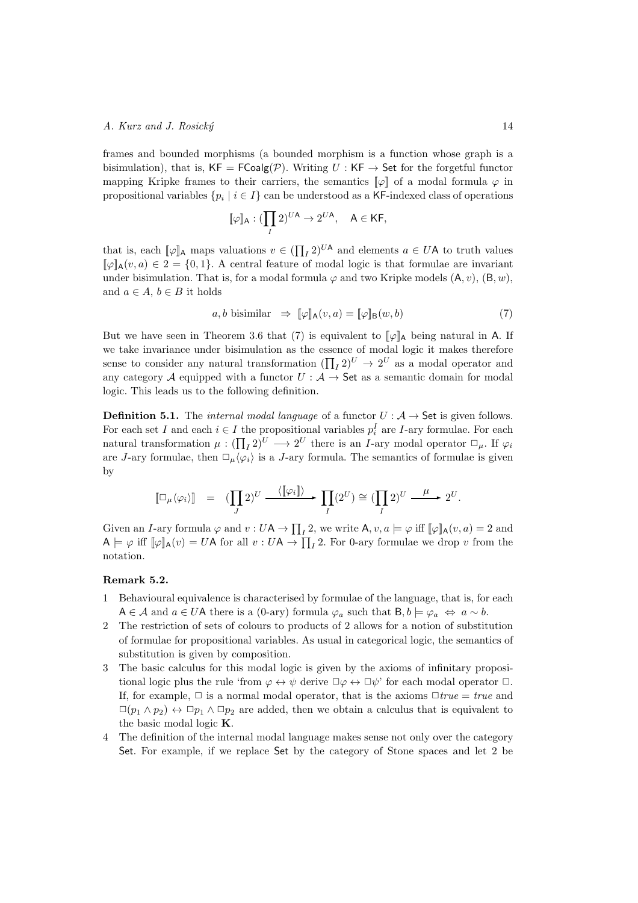frames and bounded morphisms (a bounded morphism is a function whose graph is a bisimulation), that is,  $KF = FCoalg(\mathcal{P})$ . Writing  $U : KF \rightarrow Set$  for the forgetful functor mapping Kripke frames to their carriers, the semantics  $\llbracket \varphi \rrbracket$  of a modal formula  $\varphi$  in propositional variables  $\{p_i \mid i \in I\}$  can be understood as a KF-indexed class of operations

$$
[\![\varphi]\!]_\mathsf{A}: (\prod_I 2)^{U\mathsf{A}} \to 2^{U\mathsf{A}}, \quad \mathsf{A} \in \mathsf{KF},
$$

that is, each  $[\![\varphi]\!]$ <sub>A</sub> maps valuations  $v \in (\prod_I 2)^{U\mathsf{A}}$  and elements  $a \in U\mathsf{A}$  to truth values  $[\![\varphi]\!]_A(v,a) \in 2 = \{0,1\}$ . A central feature of modal logic is that formulae are invariant under bisimulation. That is, for a modal formula  $\varphi$  and two Kripke models  $(A, v)$ ,  $(B, w)$ , and  $a \in A$ ,  $b \in B$  it holds

$$
a, b \text{ bisimilar } \Rightarrow \llbracket \varphi \rrbracket_{\mathsf{A}}(v, a) = \llbracket \varphi \rrbracket_{\mathsf{B}}(w, b) \tag{7}
$$

But we have seen in Theorem 3.6 that (7) is equivalent to  $\llbracket \varphi \rrbracket_A$  being natural in A. If we take invariance under bisimulation as the essence of modal logic it makes therefore sense to consider any natural transformation  $(\prod_I 2)^U \to 2^U$  as a modal operator and any category A equipped with a functor  $U : A \rightarrow$  Set as a semantic domain for modal logic. This leads us to the following definition.

**Definition 5.1.** The *internal modal language* of a functor  $U : A \rightarrow$  Set is given follows. For each set I and each  $i \in I$  the propositional variables  $p_i^I$  are I-ary formulae. For each natural transformation  $\mu: (\prod_I 2)^U \longrightarrow 2^U$  there is an *I*-ary modal operator  $\Box_{\mu}$ . If  $\varphi_i$ are J-ary formulae, then  $\Box_{\mu} \langle \varphi_i \rangle$  is a J-ary formula. The semantics of formulae is given by

$$
\llbracket \Box_{\mu} \langle \varphi_i \rangle \rrbracket = (\prod_J 2)^U \xrightarrow{\langle \llbracket \varphi_i \rrbracket \rangle} \prod_I (2^U) \cong (\prod_I 2)^U \xrightarrow{\mu} 2^U.
$$

Given an *I*-ary formula  $\varphi$  and  $v: U \mathsf{A} \to \prod_I 2$ , we write  $\mathsf{A}, v, a \models \varphi$  iff  $[\varphi]_{\mathsf{A}}(v, a) = 2$  and  $A \models \varphi$  iff  $[\varphi]_A(v) = UA$  for all  $v : UA \to \prod_I 2$ . For 0-ary formulae we drop v from the notation.

## Remark 5.2.

- 1 Behavioural equivalence is characterised by formulae of the language, that is, for each  $A \in \mathcal{A}$  and  $a \in U$ A there is a (0-ary) formula  $\varphi_a$  such that  $B, b \models \varphi_a \Leftrightarrow a \sim b$ .
- 2 The restriction of sets of colours to products of 2 allows for a notion of substitution of formulae for propositional variables. As usual in categorical logic, the semantics of substitution is given by composition.
- 3 The basic calculus for this modal logic is given by the axioms of infinitary propositional logic plus the rule 'from  $\varphi \leftrightarrow \psi$  derive  $\Box \varphi \leftrightarrow \Box \psi$ ' for each modal operator  $\Box$ . If, for example,  $\Box$  is a normal modal operator, that is the axioms  $\Box true = true$  and  $\Box(p_1 \land p_2) \leftrightarrow \Box p_1 \land \Box p_2$  are added, then we obtain a calculus that is equivalent to the basic modal logic K.
- 4 The definition of the internal modal language makes sense not only over the category Set. For example, if we replace Set by the category of Stone spaces and let 2 be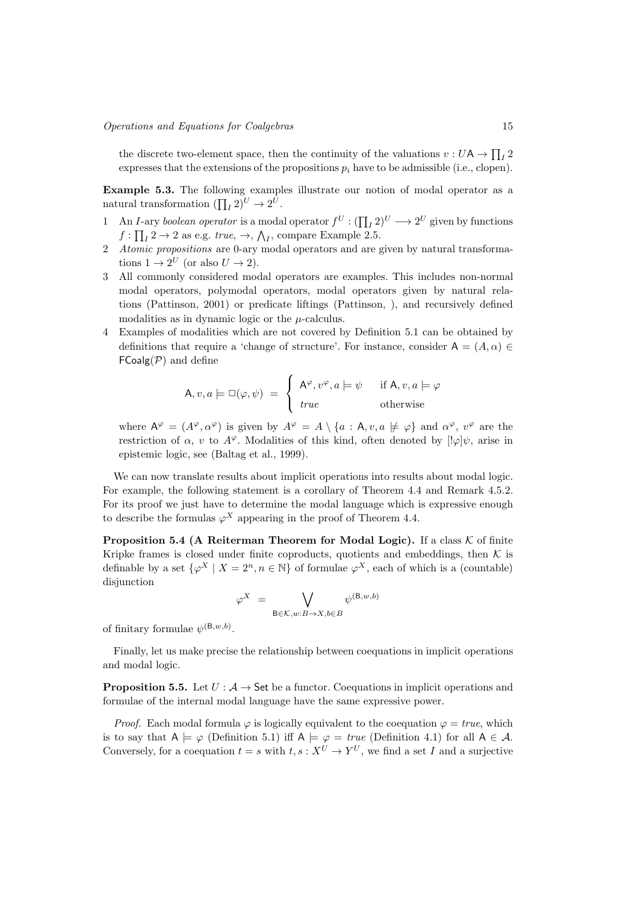the discrete two-element space, then the continuity of the valuations  $v: U\mathsf{A} \to \prod_I 2$ expresses that the extensions of the propositions  $p_i$  have to be admissible (i.e., clopen).

Example 5.3. The following examples illustrate our notion of modal operator as a natural transformation  $(\prod_I 2)^U \to 2^U$ .

- 1 An *I*-ary boolean operator is a modal operator  $f^U : (\prod_I 2)^U \longrightarrow 2^U$  given by functions  $f: \prod_{I} 2 \to 2$  as e.g. true,  $\to, \bigwedge_{I}$ , compare Example 2.5.
- Atomic propositions are 0-ary modal operators and are given by natural transformations  $1 \to 2^U$  (or also  $U \to 2$ ).
- 3 All commonly considered modal operators are examples. This includes non-normal modal operators, polymodal operators, modal operators given by natural relations (Pattinson, 2001) or predicate liftings (Pattinson, ), and recursively defined modalities as in dynamic logic or the  $\mu$ -calculus.
- 4 Examples of modalities which are not covered by Definition 5.1 can be obtained by definitions that require a 'change of structure'. For instance, consider  $A = (A, \alpha) \in$  $FCoalg(\mathcal{P})$  and define

$$
\mathsf{A}, v, a \models \Box(\varphi, \psi) = \begin{cases} \mathsf{A}^{\varphi}, v^{\varphi}, a \models \psi & \text{if } \mathsf{A}, v, a \models \varphi \\ \text{true} & \text{otherwise} \end{cases}
$$

where  $A^{\varphi} = (A^{\varphi}, \alpha^{\varphi})$  is given by  $A^{\varphi} = A \setminus \{a : A, v, a \not\models \varphi\}$  and  $\alpha^{\varphi}, v^{\varphi}$  are the restriction of  $\alpha$ , v to  $A^{\varphi}$ . Modalities of this kind, often denoted by  $[! \varphi] \psi$ , arise in epistemic logic, see (Baltag et al., 1999).

We can now translate results about implicit operations into results about modal logic. For example, the following statement is a corollary of Theorem 4.4 and Remark 4.5.2. For its proof we just have to determine the modal language which is expressive enough to describe the formulas  $\varphi^X$  appearing in the proof of Theorem 4.4.

**Proposition 5.4 (A Reiterman Theorem for Modal Logic).** If a class  $K$  of finite Kripke frames is closed under finite coproducts, quotients and embeddings, then  $K$  is definable by a set  $\{\varphi^X \mid X = 2^n, n \in \mathbb{N}\}\$  of formulae  $\varphi^X$ , each of which is a (countable) disjunction

$$
\varphi^X \ = \ \bigvee_{\mathsf{B} \in \mathcal{K}, w: B \rightarrow X, b \in B} \psi^{(\mathsf{B}, w, b)}
$$

of finitary formulae  $\psi^{(\mathsf{B},w,b)}$ .

Finally, let us make precise the relationship between coequations in implicit operations and modal logic.

**Proposition 5.5.** Let  $U : A \rightarrow$  Set be a functor. Coequations in implicit operations and formulae of the internal modal language have the same expressive power.

*Proof.* Each modal formula  $\varphi$  is logically equivalent to the coequation  $\varphi = true$ , which is to say that  $A \models \varphi$  (Definition 5.1) iff  $A \models \varphi = true$  (Definition 4.1) for all  $A \in \mathcal{A}$ . Conversely, for a coequation  $t = s$  with  $t, s: X^U \to Y^U$ , we find a set I and a surjective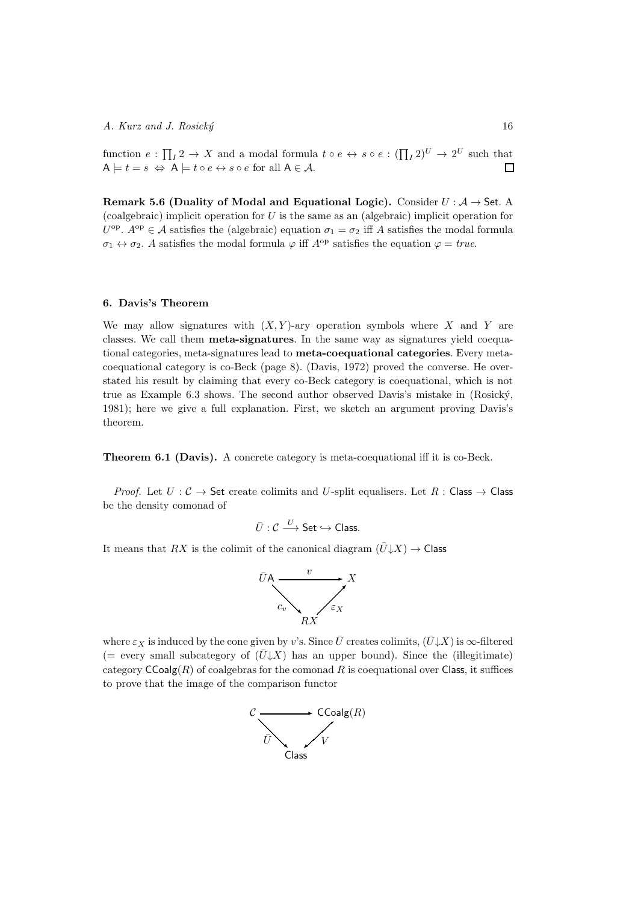function  $e: \prod_I 2 \to X$  and a modal formula  $t \circ e \leftrightarrow s \circ e: (\prod_I 2)^U \to 2^U$  such that  $A \models t = s \Leftrightarrow A \models t \circ e \leftrightarrow s \circ e$  for all  $A \in \mathcal{A}$ .  $\Box$ 

Remark 5.6 (Duality of Modal and Equational Logic). Consider  $U : A \rightarrow$  Set. A (coalgebraic) implicit operation for  $U$  is the same as an (algebraic) implicit operation for  $U^{\text{op}}$ .  $A^{\text{op}} \in \mathcal{A}$  satisfies the (algebraic) equation  $\sigma_1 = \sigma_2$  iff A satisfies the modal formula  $\sigma_1 \leftrightarrow \sigma_2$ . A satisfies the modal formula  $\varphi$  iff  $A^{\text{op}}$  satisfies the equation  $\varphi = true$ .

# 6. Davis's Theorem

We may allow signatures with  $(X, Y)$ -ary operation symbols where X and Y are classes. We call them meta-signatures. In the same way as signatures yield coequational categories, meta-signatures lead to meta-coequational categories. Every metacoequational category is co-Beck (page 8). (Davis, 1972) proved the converse. He overstated his result by claiming that every co-Beck category is coequational, which is not true as Example 6.3 shows. The second author observed Davis's mistake in (Rosick´y, 1981); here we give a full explanation. First, we sketch an argument proving Davis's theorem.

Theorem 6.1 (Davis). A concrete category is meta-coequational iff it is co-Beck.

*Proof.* Let  $U: \mathcal{C} \to \mathsf{Set}$  create colimits and U-split equalisers. Let  $R: \mathsf{Class} \to \mathsf{Class}$ be the density comonad of

$$
\bar{U} : \mathcal{C} \xrightarrow{U} \mathsf{Set} \hookrightarrow \mathsf{Class}.
$$

It means that RX is the colimit of the canonical diagram  $(\bar{U} \downarrow X) \rightarrow$  Class



where  $\varepsilon_X$  is induced by the cone given by v's. Since  $\bar{U}$  creates colimits,  $(\bar{U}\downarrow X)$  is  $\infty$ -filtered (= every small subcategory of  $(\bar{U}\downarrow X)$  has an upper bound). Since the (illegitimate) category  $\mathsf{CCoalg}(R)$  of coalgebras for the comonad R is coequational over Class, it suffices to prove that the image of the comparison functor

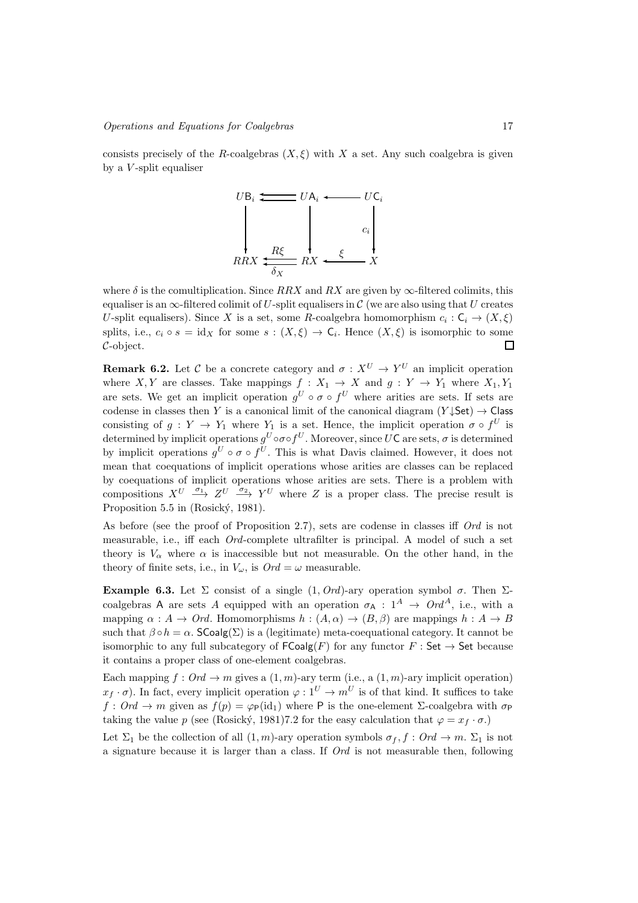consists precisely of the R-coalgebras  $(X, \xi)$  with X a set. Any such coalgebra is given by a  $V$ -split equaliser



where  $\delta$  is the comultiplication. Since RRX and RX are given by  $\infty$ -filtered colimits, this equaliser is an  $\infty$ -filtered colimit of U-split equalisers in C (we are also using that U creates U-split equalisers). Since X is a set, some R-coalgebra homomorphism  $c_i : C_i \to (X, \xi)$ splits, i.e.,  $c_i \circ s = id_X$  for some  $s : (X, \xi) \to \mathsf{C}_i$ . Hence  $(X, \xi)$  is isomorphic to some C-object.  $\Box$ 

**Remark 6.2.** Let C be a concrete category and  $\sigma: X^U \to Y^U$  an implicit operation where X, Y are classes. Take mappings  $f : X_1 \to X$  and  $g : Y \to Y_1$  where  $X_1, Y_1$ are sets. We get an implicit operation  $g^U \circ \sigma \circ f^U$  where arities are sets. If sets are codense in classes then Y is a canonical limit of the canonical diagram  $(Y \downarrow Set) \rightarrow Class$ consisting of  $g: Y \to Y_1$  where  $Y_1$  is a set. Hence, the implicit operation  $\sigma \circ f^U$  is determined by implicit operations  $g^U \circ \sigma \circ f^U$ . Moreover, since  $U\mathsf{C}$  are sets,  $\sigma$  is determined by implicit operations  $g^U \circ \sigma \circ f^U$ . This is what Davis claimed. However, it does not mean that coequations of implicit operations whose arities are classes can be replaced by coequations of implicit operations whose arities are sets. There is a problem with compositions  $X^U \longrightarrow Z^U \longrightarrow Y^U$  where Z is a proper class. The precise result is Proposition 5.5 in (Rosický, 1981).

As before (see the proof of Proposition 2.7), sets are codense in classes iff Ord is not measurable, i.e., iff each Ord-complete ultrafilter is principal. A model of such a set theory is  $V_{\alpha}$  where  $\alpha$  is inaccessible but not measurable. On the other hand, in the theory of finite sets, i.e., in  $V_{\omega}$ , is  $Ord = \omega$  measurable.

Example 6.3. Let  $\Sigma$  consist of a single  $(1, Ord)$ -ary operation symbol  $\sigma$ . Then  $\Sigma$ coalgebras A are sets A equipped with an operation  $\sigma_A : 1^A \rightarrow Ord^A$ , i.e., with a mapping  $\alpha : A \to Ord$ . Homomorphisms  $h : (A, \alpha) \to (B, \beta)$  are mappings  $h : A \to B$ such that  $\beta \circ h = \alpha$ . SCoalg(Σ) is a (legitimate) meta-coequational category. It cannot be isomorphic to any full subcategory of  $\mathsf{FCoalg}(F)$  for any functor  $F : \mathsf{Set} \to \mathsf{Set}$  because it contains a proper class of one-element coalgebras.

Each mapping  $f: Ord \to m$  gives a  $(1,m)$ -ary term (i.e., a  $(1,m)$ -ary implicit operation)  $x_f \cdot \sigma$ ). In fact, every implicit operation  $\varphi : 1^U \to m^U$  is of that kind. It suffices to take  $f: Ord \to m$  given as  $f(p) = \varphi_{\mathsf{P}}(id_1)$  where P is the one-element  $\Sigma$ -coalgebra with  $\sigma_{\mathsf{P}}$ taking the value p (see (Rosický, 1981)7.2 for the easy calculation that  $\varphi = x_f \cdot \sigma$ .)

Let  $\Sigma_1$  be the collection of all  $(1, m)$ -ary operation symbols  $\sigma_f$ ,  $f : Ord \to m$ .  $\Sigma_1$  is not a signature because it is larger than a class. If  $Ord$  is not measurable then, following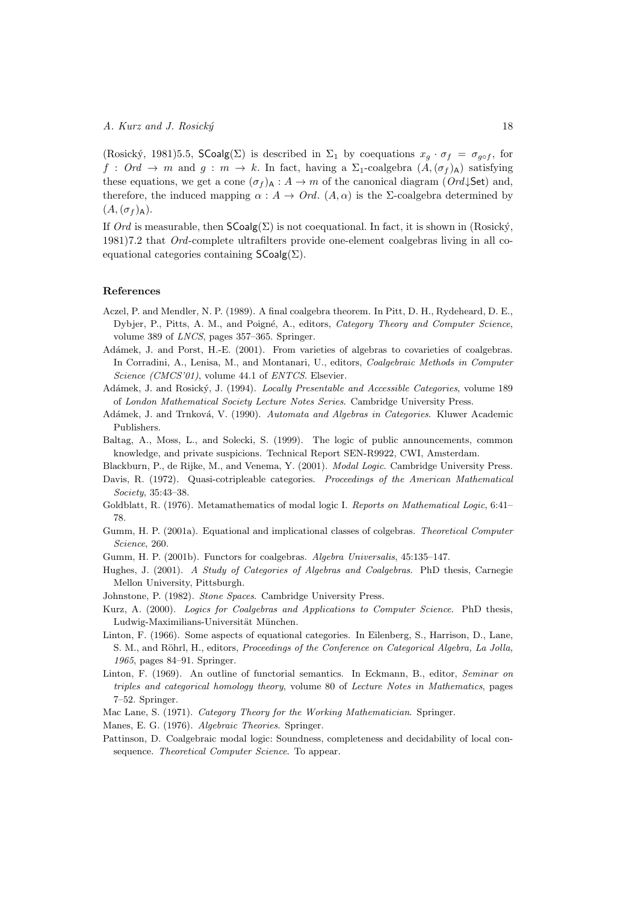(Rosický, 1981)5.5, SCoalg(Σ) is described in  $\Sigma_1$  by coequations  $x_g \cdot \sigma_f = \sigma_{g \circ f}$ , for  $f: Ord \to m$  and  $g: m \to k$ . In fact, having a  $\Sigma_1$ -coalgebra  $(A,(\sigma_f)_A)$  satisfying these equations, we get a cone  $(\sigma_f)_{\mathsf{A}} : A \to m$  of the canonical diagram  $(Ord\,\mathsf{Set})$  and, therefore, the induced mapping  $\alpha : A \to Ord$ .  $(A, \alpha)$  is the *Σ*-coalgebra determined by  $(A,(\sigma_f)_{\mathsf{A}}).$ 

If Ord is measurable, then  $\mathsf{SCoalg}(\Sigma)$  is not coequational. In fact, it is shown in (Rosický, 1981)7.2 that Ord-complete ultrafilters provide one-element coalgebras living in all coequational categories containing  $\mathsf{SCoalg}(\Sigma)$ .

## References

Society, 35:43–38.

- Aczel, P. and Mendler, N. P. (1989). A final coalgebra theorem. In Pitt, D. H., Rydeheard, D. E., Dybjer, P., Pitts, A. M., and Poigné, A., editors, Category Theory and Computer Science, volume 389 of LNCS, pages 357–365. Springer.
- Adámek, J. and Porst, H.-E. (2001). From varieties of algebras to covarieties of coalgebras. In Corradini, A., Lenisa, M., and Montanari, U., editors, Coalgebraic Methods in Computer Science (CMCS'01), volume 44.1 of ENTCS. Elsevier.
- Adámek, J. and Rosický, J. (1994). *Locally Presentable and Accessible Categories*, volume 189 of London Mathematical Society Lecture Notes Series. Cambridge University Press.
- Adámek, J. and Trnková, V. (1990). Automata and Algebras in Categories. Kluwer Academic Publishers.
- Baltag, A., Moss, L., and Solecki, S. (1999). The logic of public announcements, common knowledge, and private suspicions. Technical Report SEN-R9922, CWI, Amsterdam.

Blackburn, P., de Rijke, M., and Venema, Y. (2001). Modal Logic. Cambridge University Press. Davis, R. (1972). Quasi-cotripleable categories. Proceedings of the American Mathematical

- Goldblatt, R. (1976). Metamathematics of modal logic I. Reports on Mathematical Logic, 6:41– 78.
- Gumm, H. P. (2001a). Equational and implicational classes of colgebras. Theoretical Computer Science, 260.
- Gumm, H. P. (2001b). Functors for coalgebras. Algebra Universalis, 45:135–147.
- Hughes, J. (2001). A Study of Categories of Algebras and Coalgebras. PhD thesis, Carnegie Mellon University, Pittsburgh.
- Johnstone, P. (1982). Stone Spaces. Cambridge University Press.
- Kurz, A. (2000). Logics for Coalgebras and Applications to Computer Science. PhD thesis, Ludwig-Maximilians-Universität München.
- Linton, F. (1966). Some aspects of equational categories. In Eilenberg, S., Harrison, D., Lane, S. M., and Röhrl, H., editors, Proceedings of the Conference on Categorical Algebra, La Jolla, 1965, pages 84–91. Springer.
- Linton, F. (1969). An outline of functorial semantics. In Eckmann, B., editor, Seminar on triples and categorical homology theory, volume 80 of Lecture Notes in Mathematics, pages 7–52. Springer.
- Mac Lane, S. (1971). Category Theory for the Working Mathematician. Springer.

Manes, E. G. (1976). Algebraic Theories. Springer.

Pattinson, D. Coalgebraic modal logic: Soundness, completeness and decidability of local consequence. Theoretical Computer Science. To appear.